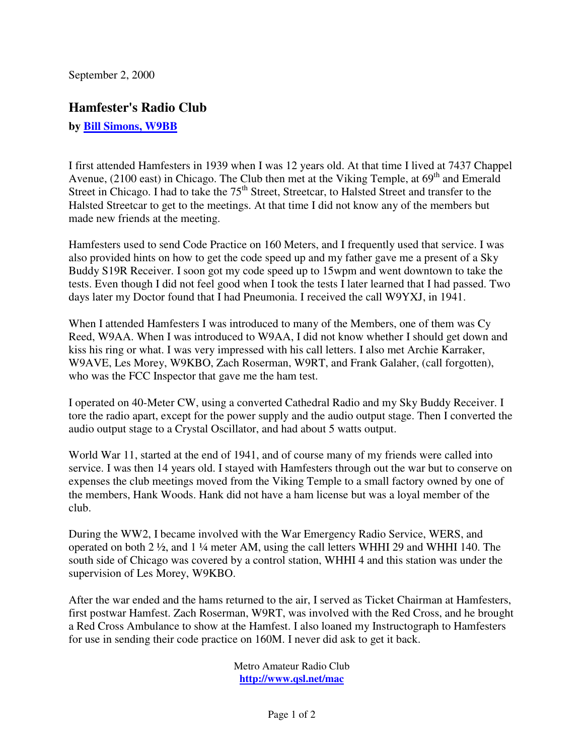September 2, 2000

## **Hamfester's Radio Club**

**by [Bill Simons, W9BB](mailto:WmSimons@worldnet.att.net)**

I first attended Hamfesters in 1939 when I was 12 years old. At that time I lived at 7437 Chappel Avenue, (2100 east) in Chicago. The Club then met at the Viking Temple, at 69<sup>th</sup> and Emerald Street in Chicago. I had to take the 75<sup>th</sup> Street, Streetcar, to Halsted Street and transfer to the Halsted Streetcar to get to the meetings. At that time I did not know any of the members but made new friends at the meeting.

Hamfesters used to send Code Practice on 160 Meters, and I frequently used that service. I was also provided hints on how to get the code speed up and my father gave me a present of a Sky Buddy S19R Receiver. I soon got my code speed up to 15wpm and went downtown to take the tests. Even though I did not feel good when I took the tests I later learned that I had passed. Two days later my Doctor found that I had Pneumonia. I received the call W9YXJ, in 1941.

When I attended Hamfesters I was introduced to many of the Members, one of them was Cy Reed, W9AA. When I was introduced to W9AA, I did not know whether I should get down and kiss his ring or what. I was very impressed with his call letters. I also met Archie Karraker, W9AVE, Les Morey, W9KBO, Zach Roserman, W9RT, and Frank Galaher, (call forgotten), who was the FCC Inspector that gave me the ham test.

I operated on 40-Meter CW, using a converted Cathedral Radio and my Sky Buddy Receiver. I tore the radio apart, except for the power supply and the audio output stage. Then I converted the audio output stage to a Crystal Oscillator, and had about 5 watts output.

World War 11, started at the end of 1941, and of course many of my friends were called into service. I was then 14 years old. I stayed with Hamfesters through out the war but to conserve on expenses the club meetings moved from the Viking Temple to a small factory owned by one of the members, Hank Woods. Hank did not have a ham license but was a loyal member of the club.

During the WW2, I became involved with the War Emergency Radio Service, WERS, and operated on both 2 ½, and 1 ¼ meter AM, using the call letters WHHI 29 and WHHI 140. The south side of Chicago was covered by a control station, WHHI 4 and this station was under the supervision of Les Morey, W9KBO.

After the war ended and the hams returned to the air, I served as Ticket Chairman at Hamfesters, first postwar Hamfest. Zach Roserman, W9RT, was involved with the Red Cross, and he brought a Red Cross Ambulance to show at the Hamfest. I also loaned my Instructograph to Hamfesters for use in sending their code practice on 160M. I never did ask to get it back.

> Metro Amateur Radio Club **http://www.qsl.net/mac**